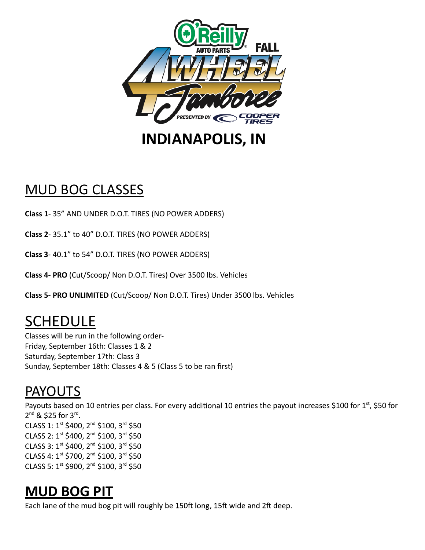

## MUD BOG CLASSES

**Class 1**- 35" AND UNDER D.O.T. TIRES (NO POWER ADDERS)

**Class 2**- 35.1" to 40" D.O.T. TIRES (NO POWER ADDERS)

**Class 3**- 40.1" to 54" D.O.T. TIRES (NO POWER ADDERS)

**Class 4- PRO** (Cut/Scoop/ Non D.O.T. Tires) Over 3500 lbs. Vehicles

**Class 5- PRO UNLIMITED** (Cut/Scoop/ Non D.O.T. Tires) Under 3500 lbs. Vehicles

# SCHEDULE

Classes will be run in the following order-Friday, September 16th: Classes 1 & 2 Saturday, September 17th: Class 3 Sunday, September 18th: Classes 4 & 5 (Class 5 to be ran first)

### PAYOUTS

Payouts based on 10 entries per class. For every additional 10 entries the payout increases \$100 for 1st, \$50 for 2<sup>nd</sup> & \$25 for 3<sup>rd</sup>. CLASS 1: 1st \$400, 2<sup>nd</sup> \$100, 3<sup>rd</sup> \$50 CLASS 2: 1st \$400, 2<sup>nd</sup> \$100, 3<sup>rd</sup> \$50 CLASS 3: 1st \$400, 2<sup>nd</sup> \$100, 3<sup>rd</sup> \$50 CLASS 4: 1st \$700, 2<sup>nd</sup> \$100, 3<sup>rd</sup> \$50 CLASS 5: 1st \$900, 2<sup>nd</sup> \$100, 3<sup>rd</sup> \$50

### **MUD BOG PIT**

Each lane of the mud bog pit will roughly be 150ft long, 15ft wide and 2ft deep.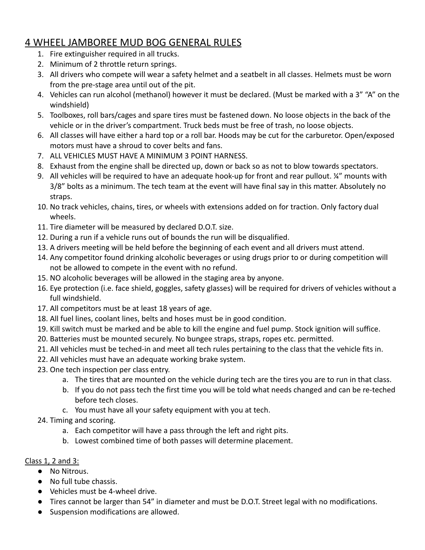#### 4 WHEEL JAMBOREE MUD BOG GENERAL RULES

- 1. Fire extinguisher required in all trucks.
- 2. Minimum of 2 throttle return springs.
- 3. All drivers who compete will wear a safety helmet and a seatbelt in all classes. Helmets must be worn from the pre-stage area until out of the pit.
- 4. Vehicles can run alcohol (methanol) however it must be declared. (Must be marked with a 3" "A" on the windshield)
- 5. Toolboxes, roll bars/cages and spare tires must be fastened down. No loose objects in the back of the vehicle or in the driver's compartment. Truck beds must be free of trash, no loose objects.
- 6. All classes will have either a hard top or a roll bar. Hoods may be cut for the carburetor. Open/exposed motors must have a shroud to cover belts and fans.
- 7. ALL VEHICLES MUST HAVE A MINIMUM 3 POINT HARNESS.
- 8. Exhaust from the engine shall be directed up, down or back so as not to blow towards spectators.
- 9. All vehicles will be required to have an adequate hook-up for front and rear pullout. ¼" mounts with 3/8" bolts as a minimum. The tech team at the event will have final say in this matter. Absolutely no straps.
- 10. No track vehicles, chains, tires, or wheels with extensions added on for traction. Only factory dual wheels.
- 11. Tire diameter will be measured by declared D.O.T. size.
- 12. During a run if a vehicle runs out of bounds the run will be disqualified.
- 13. A drivers meeting will be held before the beginning of each event and all drivers must attend.
- 14. Any competitor found drinking alcoholic beverages or using drugs prior to or during competition will not be allowed to compete in the event with no refund.
- 15. NO alcoholic beverages will be allowed in the staging area by anyone.
- 16. Eye protection (i.e. face shield, goggles, safety glasses) will be required for drivers of vehicles without a full windshield.
- 17. All competitors must be at least 18 years of age.
- 18. All fuel lines, coolant lines, belts and hoses must be in good condition.
- 19. Kill switch must be marked and be able to kill the engine and fuel pump. Stock ignition will suffice.
- 20. Batteries must be mounted securely. No bungee straps, straps, ropes etc. permitted.
- 21. All vehicles must be teched-in and meet all tech rules pertaining to the class that the vehicle fits in.
- 22. All vehicles must have an adequate working brake system.
- 23. One tech inspection per class entry.
	- a. The tires that are mounted on the vehicle during tech are the tires you are to run in that class.
	- b. If you do not pass tech the first time you will be told what needs changed and can be re-teched before tech closes.
	- c. You must have all your safety equipment with you at tech.
- 24. Timing and scoring.
	- a. Each competitor will have a pass through the left and right pits.
	- b. Lowest combined time of both passes will determine placement.

#### Class 1, 2 and 3:

- No Nitrous.
- No full tube chassis.
- Vehicles must be 4-wheel drive.
- Tires cannot be larger than 54" in diameter and must be D.O.T. Street legal with no modifications.
- Suspension modifications are allowed.